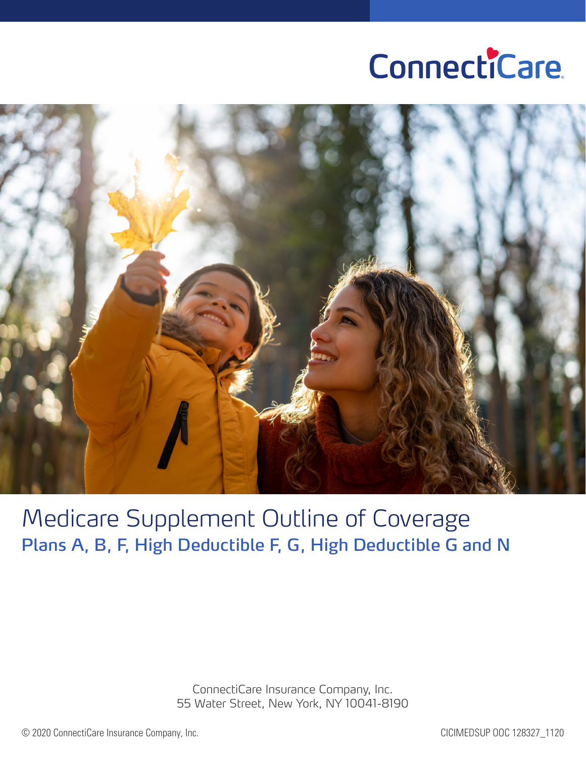# ConnectiCare.



Medicare Supplement Outline of Coverage Plans A, B, F, High Deductible F, G, High Deductible G and N

> ConnectiCare Insurance Company, Inc. 55 Water Street, New York, NY 10041-8190

© 2020 ConnectiCare Insurance Company, Inc. CICIMEDSUP OOC 128327\_1120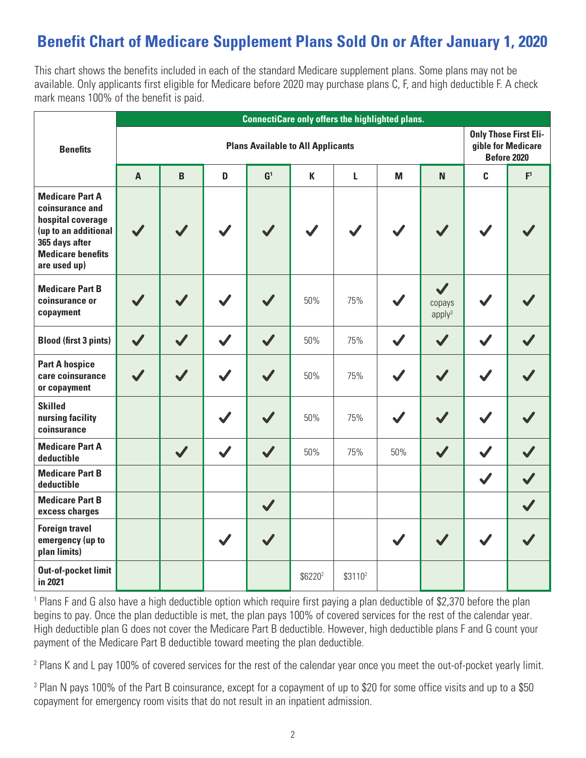### **Benefit Chart of Medicare Supplement Plans Sold On or After January 1, 2020**

This chart shows the benefits included in each of the standard Medicare supplement plans. Some plans may not be available. Only applicants first eligible for Medicare before 2020 may purchase plans C, F, and high deductible F. A check mark means 100% of the benefit is paid.

|                                                                                                                                                      | <b>ConnectiCare only offers the highlighted plans.</b> |                |              |                  |                                                                          |                     |     |                                              |                      |                |
|------------------------------------------------------------------------------------------------------------------------------------------------------|--------------------------------------------------------|----------------|--------------|------------------|--------------------------------------------------------------------------|---------------------|-----|----------------------------------------------|----------------------|----------------|
| <b>Benefits</b>                                                                                                                                      | <b>Plans Available to All Applicants</b>               |                |              |                  | <b>Only Those First Eli-</b><br>gible for Medicare<br><b>Before 2020</b> |                     |     |                                              |                      |                |
|                                                                                                                                                      | $\overline{A}$                                         | $\overline{B}$ | D            | $\mathbf{G}^1$   | $\mathbf K$                                                              | L                   | M   | N <sub>1</sub>                               | C                    | F <sup>1</sup> |
| <b>Medicare Part A</b><br>coinsurance and<br>hospital coverage<br>(up to an additional<br>365 days after<br><b>Medicare benefits</b><br>are used up) | $\boldsymbol{J}$                                       |                |              |                  |                                                                          |                     |     | $\checkmark$                                 |                      |                |
| <b>Medicare Part B</b><br>coinsurance or<br>copayment                                                                                                |                                                        |                |              |                  | 50%                                                                      | 75%                 |     | $\checkmark$<br>copays<br>apply <sup>3</sup> |                      |                |
| <b>Blood (first 3 pints)</b>                                                                                                                         | $\sqrt{}$                                              |                |              | $\boldsymbol{J}$ | 50%                                                                      | 75%                 |     | $\boldsymbol{\mathcal{J}}$                   |                      |                |
| <b>Part A hospice</b><br>care coinsurance<br>or copayment                                                                                            |                                                        | $\checkmark$   | $\checkmark$ | $\checkmark$     | 50%                                                                      | 75%                 |     | $\sqrt{}$                                    | $\blacktriangledown$ |                |
| <b>Skilled</b><br>nursing facility<br>coinsurance                                                                                                    |                                                        |                |              | $\boldsymbol{J}$ | 50%                                                                      | 75%                 |     |                                              |                      |                |
| <b>Medicare Part A</b><br>deductible                                                                                                                 |                                                        | $\sqrt{}$      | $\checkmark$ | $\checkmark$     | 50%                                                                      | 75%                 | 50% | $\sqrt{}$                                    | $\checkmark$         |                |
| <b>Medicare Part B</b><br>deductible                                                                                                                 |                                                        |                |              |                  |                                                                          |                     |     |                                              | $\blacktriangledown$ |                |
| <b>Medicare Part B</b><br>excess charges                                                                                                             |                                                        |                |              | $\checkmark$     |                                                                          |                     |     |                                              |                      |                |
| <b>Foreign travel</b><br>emergency (up to<br>plan limits)                                                                                            |                                                        |                |              |                  |                                                                          |                     |     | $\boldsymbol{\mathcal{J}}$                   |                      |                |
| <b>Out-of-pocket limit</b><br>in 2021                                                                                                                |                                                        |                |              |                  | \$6220 <sup>2</sup>                                                      | \$3110 <sup>2</sup> |     |                                              |                      |                |

<sup>1</sup> Plans F and G also have a high deductible option which require first paying a plan deductible of \$2,370 before the plan begins to pay. Once the plan deductible is met, the plan pays 100% of covered services for the rest of the calendar year. High deductible plan G does not cover the Medicare Part B deductible. However, high deductible plans F and G count your payment of the Medicare Part B deductible toward meeting the plan deductible.

<sup>2</sup> Plans K and L pay 100% of covered services for the rest of the calendar year once you meet the out-of-pocket yearly limit.

3 Plan N pays 100% of the Part B coinsurance, except for a copayment of up to \$20 for some office visits and up to a \$50 copayment for emergency room visits that do not result in an inpatient admission.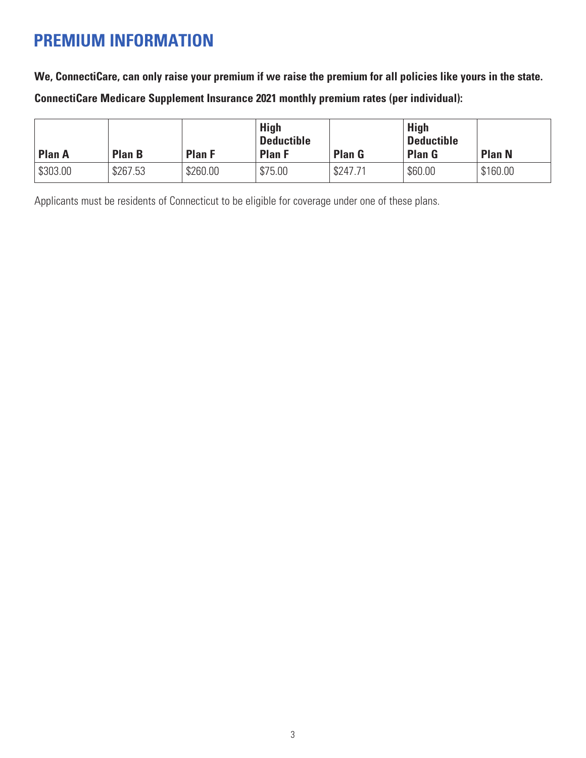### **PREMIUM INFORMATION**

**We, ConnectiCare, can only raise your premium if we raise the premium for all policies like yours in the state.**

**ConnectiCare Medicare Supplement Insurance 2021 monthly premium rates (per individual):**

| <b>Plan A</b> | <b>Plan B</b> | <b>Plan F</b> | <b>High</b><br><b>Deductible</b><br><b>Plan F</b> | <b>Plan G</b> | <b>High</b><br><b>Deductible</b><br><b>Plan G</b> | <b>Plan N</b> |
|---------------|---------------|---------------|---------------------------------------------------|---------------|---------------------------------------------------|---------------|
| \$303.00      | \$267.53      | \$260.00      | \$75.00                                           | \$247.71      | \$60.00                                           | \$160.00      |

Applicants must be residents of Connecticut to be eligible for coverage under one of these plans.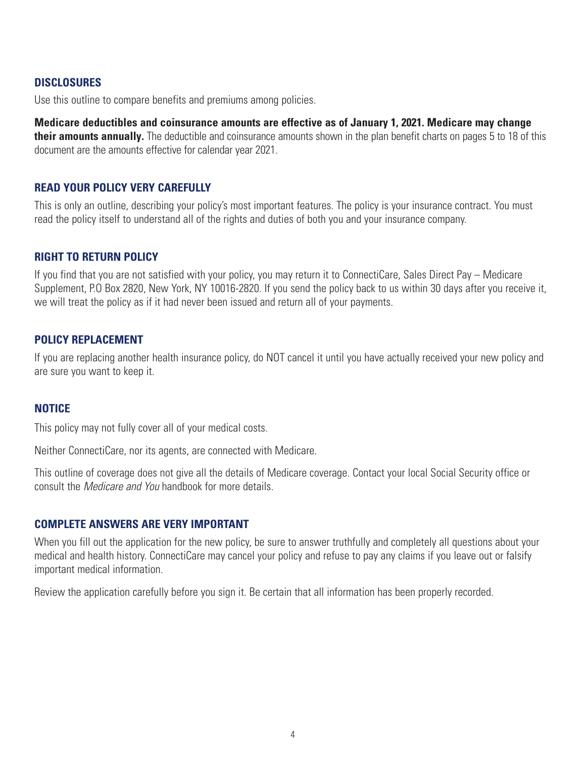#### **DISCLOSURES**

Use this outline to compare benefits and premiums among policies.

**Medicare deductibles and coinsurance amounts are effective as of January 1, 2021. Medicare may change their amounts annually.** The deductible and coinsurance amounts shown in the plan benefit charts on pages 5 to 18 of this document are the amounts effective for calendar year 2021.

#### **READ YOUR POLICY VERY CAREFULLY**

This is only an outline, describing your policy's most important features. The policy is your insurance contract. You must read the policy itself to understand all of the rights and duties of both you and your insurance company.

#### **RIGHT TO RETURN POLICY**

If you find that you are not satisfied with your policy, you may return it to ConnectiCare, Sales Direct Pay – Medicare Supplement, P.O Box 2820, New York, NY 10016-2820. If you send the policy back to us within 30 days after you receive it, we will treat the policy as if it had never been issued and return all of your payments.

#### **POLICY REPLACEMENT**

If you are replacing another health insurance policy, do NOT cancel it until you have actually received your new policy and are sure you want to keep it.

#### **NOTICE**

This policy may not fully cover all of your medical costs.

Neither ConnectiCare, nor its agents, are connected with Medicare.

This outline of coverage does not give all the details of Medicare coverage. Contact your local Social Security office or consult the *Medicare and You* handbook for more details.

#### **COMPLETE ANSWERS ARE VERY IMPORTANT**

When you fill out the application for the new policy, be sure to answer truthfully and completely all questions about your medical and health history. ConnectiCare may cancel your policy and refuse to pay any claims if you leave out or falsify important medical information.

Review the application carefully before you sign it. Be certain that all information has been properly recorded.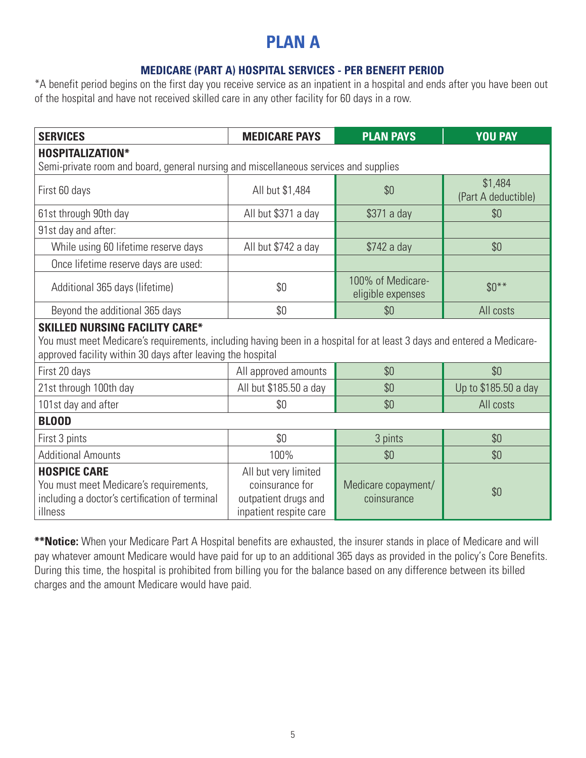### **PLAN A**

#### **MEDICARE (PART A) HOSPITAL SERVICES - PER BENEFIT PERIOD**

\*A benefit period begins on the first day you receive service as an inpatient in a hospital and ends after you have been out of the hospital and have not received skilled care in any other facility for 60 days in a row.

| <b>SERVICES</b>                                                                                                                                                                                                                | <b>MEDICARE PAYS</b>                                                                      | <b>PLAN PAYS</b>                       | <b>YOU PAY</b>                 |  |  |  |
|--------------------------------------------------------------------------------------------------------------------------------------------------------------------------------------------------------------------------------|-------------------------------------------------------------------------------------------|----------------------------------------|--------------------------------|--|--|--|
| <b>HOSPITALIZATION*</b>                                                                                                                                                                                                        |                                                                                           |                                        |                                |  |  |  |
| Semi-private room and board, general nursing and miscellaneous services and supplies                                                                                                                                           |                                                                                           |                                        |                                |  |  |  |
| First 60 days                                                                                                                                                                                                                  | All but \$1,484                                                                           | \$0                                    | \$1,484<br>(Part A deductible) |  |  |  |
| 61st through 90th day                                                                                                                                                                                                          | All but \$371 a day                                                                       | \$371 a day                            | \$0                            |  |  |  |
| 91st day and after:                                                                                                                                                                                                            |                                                                                           |                                        |                                |  |  |  |
| While using 60 lifetime reserve days                                                                                                                                                                                           | All but \$742 a day                                                                       | \$742 a day                            | \$0                            |  |  |  |
| Once lifetime reserve days are used:                                                                                                                                                                                           |                                                                                           |                                        |                                |  |  |  |
| Additional 365 days (lifetime)                                                                                                                                                                                                 | \$0                                                                                       | 100% of Medicare-<br>eligible expenses | $$0***$                        |  |  |  |
| Beyond the additional 365 days                                                                                                                                                                                                 | \$0                                                                                       | \$0                                    | All costs                      |  |  |  |
| <b>SKILLED NURSING FACILITY CARE*</b><br>You must meet Medicare's requirements, including having been in a hospital for at least 3 days and entered a Medicare-<br>approved facility within 30 days after leaving the hospital |                                                                                           |                                        |                                |  |  |  |
| First 20 days                                                                                                                                                                                                                  | All approved amounts                                                                      | \$0                                    | \$0                            |  |  |  |
| 21st through 100th day                                                                                                                                                                                                         | All but \$185.50 a day                                                                    | \$0                                    | Up to \$185.50 a day           |  |  |  |
| 101st day and after                                                                                                                                                                                                            | \$0                                                                                       | \$0                                    | All costs                      |  |  |  |
| <b>BLOOD</b>                                                                                                                                                                                                                   |                                                                                           |                                        |                                |  |  |  |
| First 3 pints                                                                                                                                                                                                                  | \$0                                                                                       | 3 pints                                | \$0                            |  |  |  |
| <b>Additional Amounts</b>                                                                                                                                                                                                      | 100%                                                                                      | \$0                                    | \$0                            |  |  |  |
| <b>HOSPICE CARE</b><br>You must meet Medicare's requirements,<br>including a doctor's certification of terminal<br>illness                                                                                                     | All but very limited<br>coinsurance for<br>outpatient drugs and<br>inpatient respite care | Medicare copayment/<br>coinsurance     | \$0                            |  |  |  |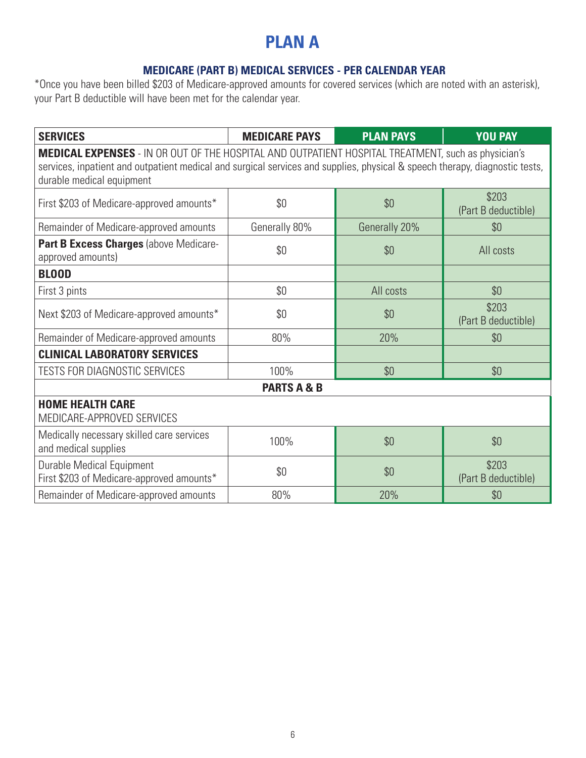### **PLAN A**

#### **MEDICARE (PART B) MEDICAL SERVICES - PER CALENDAR YEAR**

| <b>SERVICES</b>                                                                                                                                                                                                                                                        | <b>MEDICARE PAYS</b>   | <b>PLAN PAYS</b> | <b>YOU PAY</b>               |  |  |
|------------------------------------------------------------------------------------------------------------------------------------------------------------------------------------------------------------------------------------------------------------------------|------------------------|------------------|------------------------------|--|--|
| <b>MEDICAL EXPENSES</b> - IN OR OUT OF THE HOSPITAL AND OUTPATIENT HOSPITAL TREATMENT, such as physician's<br>services, inpatient and outpatient medical and surgical services and supplies, physical & speech therapy, diagnostic tests,<br>durable medical equipment |                        |                  |                              |  |  |
| First \$203 of Medicare-approved amounts*                                                                                                                                                                                                                              | \$0                    | \$0              | \$203<br>(Part B deductible) |  |  |
| Remainder of Medicare-approved amounts                                                                                                                                                                                                                                 | Generally 80%          | Generally 20%    | \$0                          |  |  |
| Part B Excess Charges (above Medicare-<br>approved amounts)                                                                                                                                                                                                            | \$0                    | \$0              | All costs                    |  |  |
| <b>BLOOD</b>                                                                                                                                                                                                                                                           |                        |                  |                              |  |  |
| First 3 pints                                                                                                                                                                                                                                                          | \$0\$                  | All costs        | \$0                          |  |  |
| Next \$203 of Medicare-approved amounts*                                                                                                                                                                                                                               | \$0                    | \$0              | \$203<br>(Part B deductible) |  |  |
| Remainder of Medicare-approved amounts                                                                                                                                                                                                                                 | 80%                    | 20%              | \$0                          |  |  |
| <b>CLINICAL LABORATORY SERVICES</b>                                                                                                                                                                                                                                    |                        |                  |                              |  |  |
| <b>TESTS FOR DIAGNOSTIC SERVICES</b>                                                                                                                                                                                                                                   | 100%                   | \$0              | \$0                          |  |  |
|                                                                                                                                                                                                                                                                        | <b>PARTS A &amp; B</b> |                  |                              |  |  |
| <b>HOME HEALTH CARE</b><br>MEDICARE-APPROVED SERVICES                                                                                                                                                                                                                  |                        |                  |                              |  |  |
| Medically necessary skilled care services<br>and medical supplies                                                                                                                                                                                                      | 100%                   | \$0              | \$0                          |  |  |
| <b>Durable Medical Equipment</b><br>First \$203 of Medicare-approved amounts*                                                                                                                                                                                          | \$0                    | \$0              | \$203<br>(Part B deductible) |  |  |
| Remainder of Medicare-approved amounts                                                                                                                                                                                                                                 | 80%                    | 20%              | \$0                          |  |  |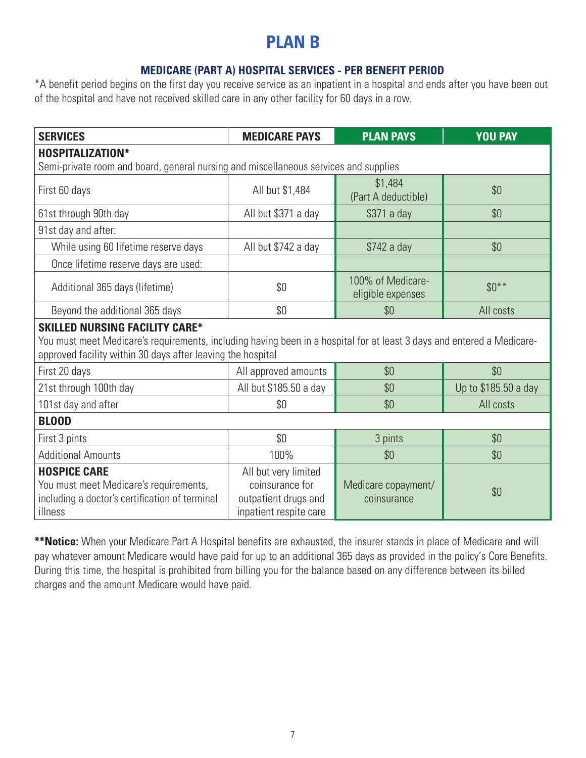### **PLAN B**

#### **MEDICARE (PART A) HOSPITAL SERVICES - PER BENEFIT PERIOD**

\*A benefit period begins on the first day you receive service as an inpatient in a hospital and ends after you have been out of the hospital and have not received skilled care in any other facility for 60 days in a row.

| <b>SERVICES</b>                                                                                                                                                                                                                | <b>MEDICARE PAYS</b>                                                                      | <b>PLAN PAYS</b>                       | <b>YOU PAY</b>       |  |  |  |
|--------------------------------------------------------------------------------------------------------------------------------------------------------------------------------------------------------------------------------|-------------------------------------------------------------------------------------------|----------------------------------------|----------------------|--|--|--|
| <b>HOSPITALIZATION*</b>                                                                                                                                                                                                        |                                                                                           |                                        |                      |  |  |  |
| Semi-private room and board, general nursing and miscellaneous services and supplies                                                                                                                                           |                                                                                           |                                        |                      |  |  |  |
| First 60 days                                                                                                                                                                                                                  | All but \$1,484                                                                           | \$1,484<br>(Part A deductible)         | \$0                  |  |  |  |
| 61st through 90th day                                                                                                                                                                                                          | All but \$371 a day                                                                       | \$371 a day                            | \$0                  |  |  |  |
| 91st day and after:                                                                                                                                                                                                            |                                                                                           |                                        |                      |  |  |  |
| While using 60 lifetime reserve days                                                                                                                                                                                           | All but \$742 a day                                                                       | \$742 a day                            | \$0                  |  |  |  |
| Once lifetime reserve days are used:                                                                                                                                                                                           |                                                                                           |                                        |                      |  |  |  |
| Additional 365 days (lifetime)                                                                                                                                                                                                 | \$0                                                                                       | 100% of Medicare-<br>eligible expenses | $$0***$              |  |  |  |
| Beyond the additional 365 days                                                                                                                                                                                                 | \$0                                                                                       | \$0                                    | All costs            |  |  |  |
| <b>SKILLED NURSING FACILITY CARE*</b><br>You must meet Medicare's requirements, including having been in a hospital for at least 3 days and entered a Medicare-<br>approved facility within 30 days after leaving the hospital |                                                                                           |                                        |                      |  |  |  |
| First 20 days                                                                                                                                                                                                                  | All approved amounts                                                                      | \$0                                    | \$0                  |  |  |  |
| 21st through 100th day                                                                                                                                                                                                         | All but \$185.50 a day                                                                    | \$0                                    | Up to \$185.50 a day |  |  |  |
| 101st day and after                                                                                                                                                                                                            | \$0                                                                                       | \$0                                    | All costs            |  |  |  |
| <b>BLOOD</b>                                                                                                                                                                                                                   |                                                                                           |                                        |                      |  |  |  |
| First 3 pints                                                                                                                                                                                                                  | \$0                                                                                       | 3 pints                                | \$0                  |  |  |  |
| <b>Additional Amounts</b>                                                                                                                                                                                                      | 100%                                                                                      | \$0                                    | \$0                  |  |  |  |
| <b>HOSPICE CARE</b><br>You must meet Medicare's requirements,<br>including a doctor's certification of terminal<br>illness                                                                                                     | All but very limited<br>coinsurance for<br>outpatient drugs and<br>inpatient respite care | Medicare copayment/<br>coinsurance     | \$0                  |  |  |  |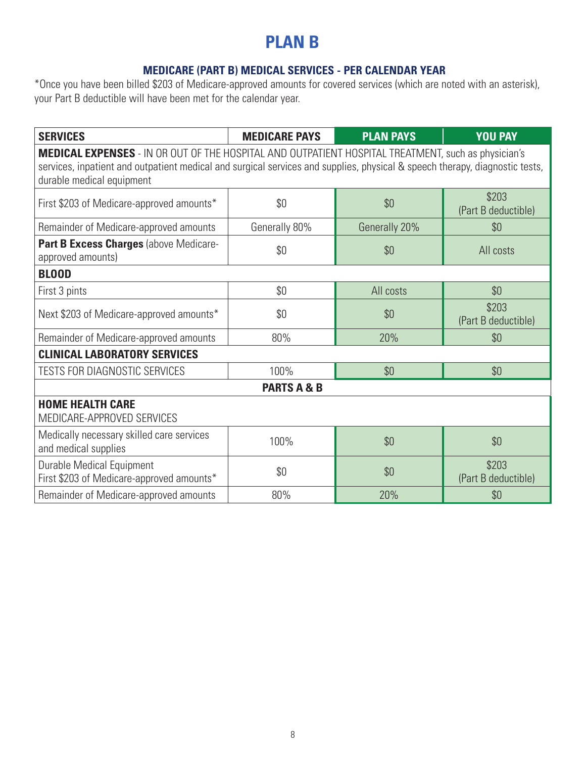### **PLAN B**

#### **MEDICARE (PART B) MEDICAL SERVICES - PER CALENDAR YEAR**

| <b>SERVICES</b>                                                                                                                                                                                                                                                        | <b>MEDICARE PAYS</b>   | <b>PLAN PAYS</b> | <b>YOU PAY</b>               |  |  |  |
|------------------------------------------------------------------------------------------------------------------------------------------------------------------------------------------------------------------------------------------------------------------------|------------------------|------------------|------------------------------|--|--|--|
| <b>MEDICAL EXPENSES</b> - IN OR OUT OF THE HOSPITAL AND OUTPATIENT HOSPITAL TREATMENT, such as physician's<br>services, inpatient and outpatient medical and surgical services and supplies, physical & speech therapy, diagnostic tests,<br>durable medical equipment |                        |                  |                              |  |  |  |
| First \$203 of Medicare-approved amounts*                                                                                                                                                                                                                              | \$0                    | \$0              | \$203<br>(Part B deductible) |  |  |  |
| Remainder of Medicare-approved amounts                                                                                                                                                                                                                                 | Generally 80%          | Generally 20%    | \$0                          |  |  |  |
| Part B Excess Charges (above Medicare-<br>approved amounts)                                                                                                                                                                                                            | \$0                    | \$0              | All costs                    |  |  |  |
| <b>BLOOD</b>                                                                                                                                                                                                                                                           |                        |                  |                              |  |  |  |
| First 3 pints                                                                                                                                                                                                                                                          | \$0                    | All costs        | \$0                          |  |  |  |
| Next \$203 of Medicare-approved amounts*                                                                                                                                                                                                                               | \$0                    | \$0              | \$203<br>(Part B deductible) |  |  |  |
| Remainder of Medicare-approved amounts                                                                                                                                                                                                                                 | 80%                    | 20%              | \$0                          |  |  |  |
| <b>CLINICAL LABORATORY SERVICES</b>                                                                                                                                                                                                                                    |                        |                  |                              |  |  |  |
| <b>TESTS FOR DIAGNOSTIC SERVICES</b>                                                                                                                                                                                                                                   | 100%                   | \$0              | \$0                          |  |  |  |
|                                                                                                                                                                                                                                                                        | <b>PARTS A &amp; B</b> |                  |                              |  |  |  |
| <b>HOME HEALTH CARE</b><br>MEDICARE-APPROVED SERVICES                                                                                                                                                                                                                  |                        |                  |                              |  |  |  |
| Medically necessary skilled care services<br>and medical supplies                                                                                                                                                                                                      | 100%                   | \$0              | \$0                          |  |  |  |
| Durable Medical Equipment<br>First \$203 of Medicare-approved amounts*                                                                                                                                                                                                 | \$0                    | \$0              | \$203<br>(Part B deductible) |  |  |  |
| Remainder of Medicare-approved amounts                                                                                                                                                                                                                                 | 80%                    | 20%              | \$0                          |  |  |  |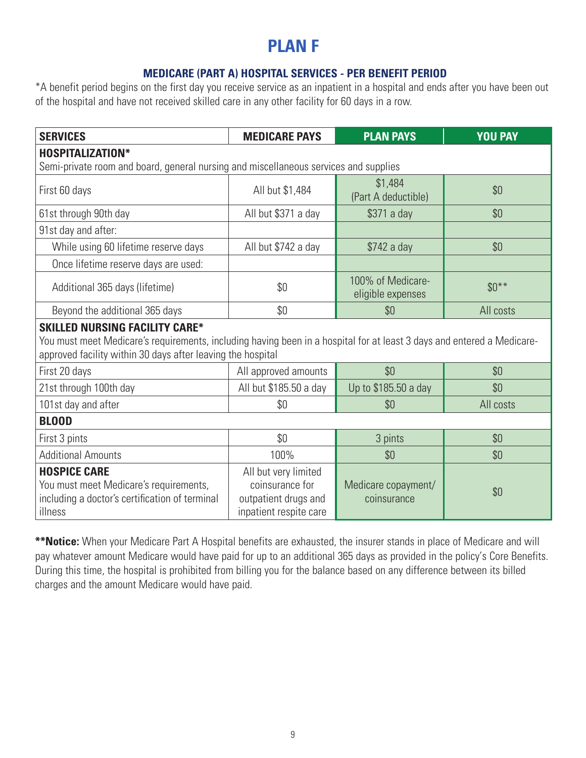### **PLAN F**

#### **MEDICARE (PART A) HOSPITAL SERVICES - PER BENEFIT PERIOD**

\*A benefit period begins on the first day you receive service as an inpatient in a hospital and ends after you have been out of the hospital and have not received skilled care in any other facility for 60 days in a row.

| <b>SERVICES</b>                                                                                                                                                                                                                | <b>MEDICARE PAYS</b>                                                                      | <b>PLAN PAYS</b>                       | <b>YOU PAY</b> |  |  |
|--------------------------------------------------------------------------------------------------------------------------------------------------------------------------------------------------------------------------------|-------------------------------------------------------------------------------------------|----------------------------------------|----------------|--|--|
| <b>HOSPITALIZATION*</b>                                                                                                                                                                                                        |                                                                                           |                                        |                |  |  |
| Semi-private room and board, general nursing and miscellaneous services and supplies                                                                                                                                           |                                                                                           |                                        |                |  |  |
| First 60 days                                                                                                                                                                                                                  | All but \$1,484                                                                           | \$1,484<br>(Part A deductible)         | \$0            |  |  |
| 61st through 90th day                                                                                                                                                                                                          | All but \$371 a day                                                                       | \$371 a day                            | \$0            |  |  |
| 91st day and after:                                                                                                                                                                                                            |                                                                                           |                                        |                |  |  |
| While using 60 lifetime reserve days                                                                                                                                                                                           | All but \$742 a day                                                                       | \$742 a day                            | \$0            |  |  |
| Once lifetime reserve days are used:                                                                                                                                                                                           |                                                                                           |                                        |                |  |  |
| Additional 365 days (lifetime)                                                                                                                                                                                                 | \$0                                                                                       | 100% of Medicare-<br>eligible expenses | $$0***$        |  |  |
| Beyond the additional 365 days                                                                                                                                                                                                 | \$0                                                                                       | \$0                                    | All costs      |  |  |
| <b>SKILLED NURSING FACILITY CARE*</b><br>You must meet Medicare's requirements, including having been in a hospital for at least 3 days and entered a Medicare-<br>approved facility within 30 days after leaving the hospital |                                                                                           |                                        |                |  |  |
| First 20 days                                                                                                                                                                                                                  | All approved amounts                                                                      | \$0                                    | \$0            |  |  |
| 21st through 100th day                                                                                                                                                                                                         | All but \$185.50 a day                                                                    | Up to \$185.50 a day                   | \$0            |  |  |
| 101st day and after                                                                                                                                                                                                            | \$0                                                                                       | \$0                                    | All costs      |  |  |
| <b>BLOOD</b>                                                                                                                                                                                                                   |                                                                                           |                                        |                |  |  |
| First 3 pints                                                                                                                                                                                                                  | \$0                                                                                       | 3 pints                                | \$0            |  |  |
| <b>Additional Amounts</b>                                                                                                                                                                                                      | 100%                                                                                      | \$0                                    | \$0            |  |  |
| <b>HOSPICE CARE</b><br>You must meet Medicare's requirements,<br>including a doctor's certification of terminal<br>illness                                                                                                     | All but very limited<br>coinsurance for<br>outpatient drugs and<br>inpatient respite care | Medicare copayment/<br>coinsurance     | \$0            |  |  |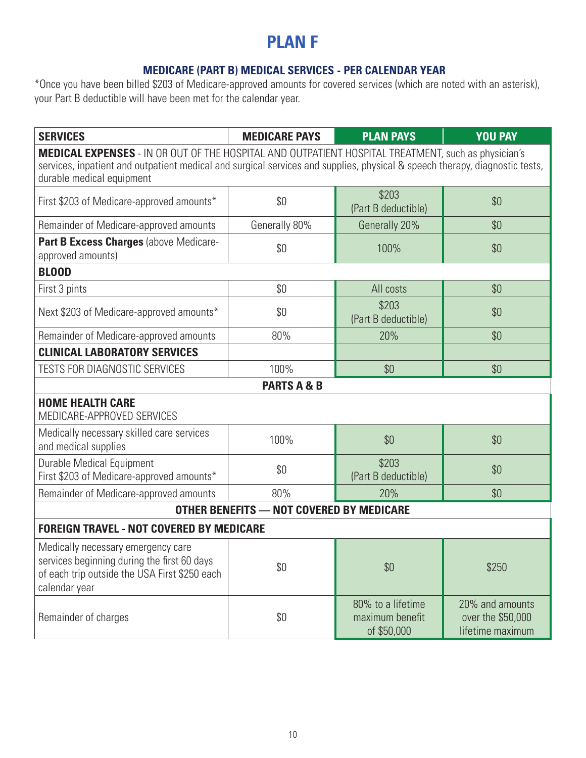### **PLAN F**

#### **MEDICARE (PART B) MEDICAL SERVICES - PER CALENDAR YEAR**

| <b>SERVICES</b>                                                                                                                                                                                                                                                        | <b>MEDICARE PAYS</b>                            | <b>PLAN PAYS</b>                                    | <b>YOU PAY</b>                                           |  |  |  |
|------------------------------------------------------------------------------------------------------------------------------------------------------------------------------------------------------------------------------------------------------------------------|-------------------------------------------------|-----------------------------------------------------|----------------------------------------------------------|--|--|--|
| <b>MEDICAL EXPENSES</b> - IN OR OUT OF THE HOSPITAL AND OUTPATIENT HOSPITAL TREATMENT, such as physician's<br>services, inpatient and outpatient medical and surgical services and supplies, physical & speech therapy, diagnostic tests,<br>durable medical equipment |                                                 |                                                     |                                                          |  |  |  |
| First \$203 of Medicare-approved amounts*                                                                                                                                                                                                                              | \$0                                             | \$203<br>(Part B deductible)                        | \$0                                                      |  |  |  |
| Remainder of Medicare-approved amounts                                                                                                                                                                                                                                 | Generally 80%                                   | Generally 20%                                       | \$0                                                      |  |  |  |
| Part B Excess Charges (above Medicare-<br>approved amounts)                                                                                                                                                                                                            | \$0                                             | 100%                                                | \$0                                                      |  |  |  |
| <b>BLOOD</b>                                                                                                                                                                                                                                                           |                                                 |                                                     |                                                          |  |  |  |
| First 3 pints                                                                                                                                                                                                                                                          | \$0                                             | All costs                                           | \$0                                                      |  |  |  |
| Next \$203 of Medicare-approved amounts*                                                                                                                                                                                                                               | \$0                                             | \$203<br>(Part B deductible)                        | \$0                                                      |  |  |  |
| Remainder of Medicare-approved amounts                                                                                                                                                                                                                                 | 80%                                             | 20%                                                 | \$0                                                      |  |  |  |
| <b>CLINICAL LABORATORY SERVICES</b>                                                                                                                                                                                                                                    |                                                 |                                                     |                                                          |  |  |  |
| <b>TESTS FOR DIAGNOSTIC SERVICES</b>                                                                                                                                                                                                                                   | 100%                                            | \$0                                                 | \$0                                                      |  |  |  |
|                                                                                                                                                                                                                                                                        | <b>PARTS A &amp; B</b>                          |                                                     |                                                          |  |  |  |
| <b>HOME HEALTH CARE</b><br>MEDICARE-APPROVED SERVICES                                                                                                                                                                                                                  |                                                 |                                                     |                                                          |  |  |  |
| Medically necessary skilled care services<br>and medical supplies                                                                                                                                                                                                      | 100%                                            | \$0                                                 | \$0                                                      |  |  |  |
| <b>Durable Medical Equipment</b><br>First \$203 of Medicare-approved amounts*                                                                                                                                                                                          | \$0                                             | \$203<br>(Part B deductible)                        | \$0                                                      |  |  |  |
| Remainder of Medicare-approved amounts                                                                                                                                                                                                                                 | 80%                                             | 20%                                                 | \$0                                                      |  |  |  |
|                                                                                                                                                                                                                                                                        | <b>OTHER BENEFITS - NOT COVERED BY MEDICARE</b> |                                                     |                                                          |  |  |  |
| <b>FOREIGN TRAVEL - NOT COVERED BY MEDICARE</b>                                                                                                                                                                                                                        |                                                 |                                                     |                                                          |  |  |  |
| Medically necessary emergency care<br>services beginning during the first 60 days<br>of each trip outside the USA First \$250 each<br>calendar year                                                                                                                    | \$0                                             | \$0                                                 | \$250                                                    |  |  |  |
| Remainder of charges                                                                                                                                                                                                                                                   | \$0                                             | 80% to a lifetime<br>maximum benefit<br>of \$50,000 | 20% and amounts<br>over the \$50,000<br>lifetime maximum |  |  |  |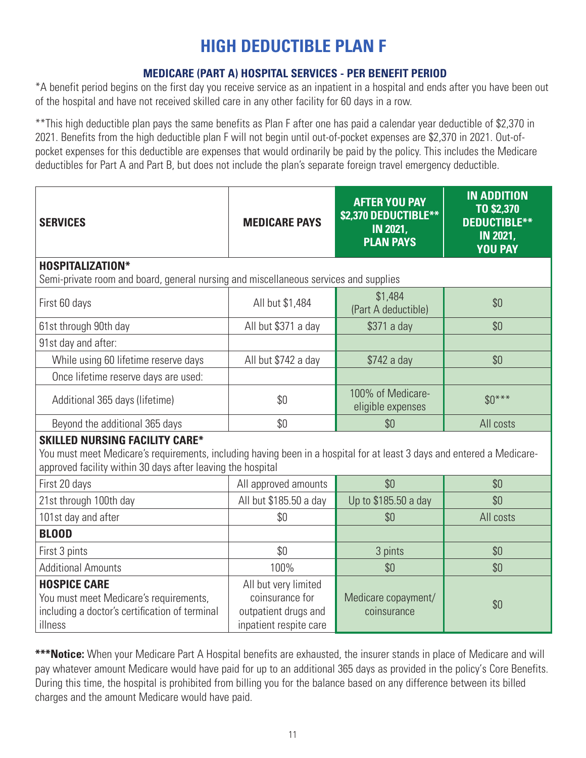### **HIGH DEDUCTIBLE PLAN F**

#### **MEDICARE (PART A) HOSPITAL SERVICES - PER BENEFIT PERIOD**

\*A benefit period begins on the first day you receive service as an inpatient in a hospital and ends after you have been out of the hospital and have not received skilled care in any other facility for 60 days in a row.

\*\*This high deductible plan pays the same benefits as Plan F after one has paid a calendar year deductible of \$2,370 in 2021. Benefits from the high deductible plan F will not begin until out-of-pocket expenses are \$2,370 in 2021. Out-ofpocket expenses for this deductible are expenses that would ordinarily be paid by the policy. This includes the Medicare deductibles for Part A and Part B, but does not include the plan's separate foreign travel emergency deductible.

| <b>SERVICES</b>                                                                                                                                                                                                                | <b>MEDICARE PAYS</b>                                                                      | <b>AFTER YOU PAY</b><br>\$2,370 DEDUCTIBLE**<br><b>IN 2021,</b><br><b>PLAN PAYS</b> | <b>IN ADDITION</b><br>TO \$2,370<br><b>DEDUCTIBLE**</b><br><b>IN 2021,</b><br><b>YOU PAY</b> |  |  |
|--------------------------------------------------------------------------------------------------------------------------------------------------------------------------------------------------------------------------------|-------------------------------------------------------------------------------------------|-------------------------------------------------------------------------------------|----------------------------------------------------------------------------------------------|--|--|
| <b>HOSPITALIZATION*</b><br>Semi-private room and board, general nursing and miscellaneous services and supplies                                                                                                                |                                                                                           |                                                                                     |                                                                                              |  |  |
| First 60 days                                                                                                                                                                                                                  | All but \$1,484                                                                           | \$1,484<br>(Part A deductible)                                                      | \$0                                                                                          |  |  |
| 61st through 90th day                                                                                                                                                                                                          | All but \$371 a day                                                                       | \$371 a day                                                                         | \$0                                                                                          |  |  |
| 91st day and after:                                                                                                                                                                                                            |                                                                                           |                                                                                     |                                                                                              |  |  |
| While using 60 lifetime reserve days                                                                                                                                                                                           | All but \$742 a day                                                                       | \$742 a day                                                                         | \$0                                                                                          |  |  |
| Once lifetime reserve days are used:                                                                                                                                                                                           |                                                                                           |                                                                                     |                                                                                              |  |  |
| Additional 365 days (lifetime)                                                                                                                                                                                                 | \$0                                                                                       | 100% of Medicare-<br>eligible expenses                                              | $$0***$                                                                                      |  |  |
| Beyond the additional 365 days                                                                                                                                                                                                 | \$0                                                                                       | \$0                                                                                 | All costs                                                                                    |  |  |
| <b>SKILLED NURSING FACILITY CARE*</b><br>You must meet Medicare's requirements, including having been in a hospital for at least 3 days and entered a Medicare-<br>approved facility within 30 days after leaving the hospital |                                                                                           |                                                                                     |                                                                                              |  |  |
| First 20 days                                                                                                                                                                                                                  | All approved amounts                                                                      | \$0                                                                                 | \$0                                                                                          |  |  |
| 21st through 100th day                                                                                                                                                                                                         | All but \$185.50 a day                                                                    | Up to \$185.50 a day                                                                | \$0                                                                                          |  |  |
| 101st day and after                                                                                                                                                                                                            | \$0                                                                                       | \$0                                                                                 | All costs                                                                                    |  |  |
| <b>BLOOD</b>                                                                                                                                                                                                                   |                                                                                           |                                                                                     |                                                                                              |  |  |
| First 3 pints                                                                                                                                                                                                                  | \$0                                                                                       | 3 pints                                                                             | \$0                                                                                          |  |  |
| <b>Additional Amounts</b>                                                                                                                                                                                                      | 100%                                                                                      | \$0                                                                                 | \$0                                                                                          |  |  |
| <b>HOSPICE CARE</b><br>You must meet Medicare's requirements,<br>including a doctor's certification of terminal<br>illness                                                                                                     | All but very limited<br>coinsurance for<br>outpatient drugs and<br>inpatient respite care | Medicare copayment/<br>coinsurance                                                  | \$0                                                                                          |  |  |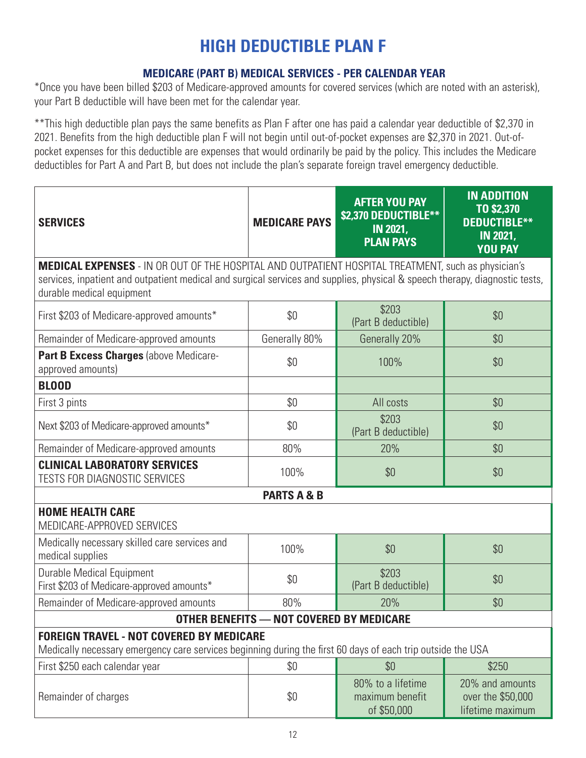### **HIGH DEDUCTIBLE PLAN F**

#### **MEDICARE (PART B) MEDICAL SERVICES - PER CALENDAR YEAR**

\*Once you have been billed \$203 of Medicare-approved amounts for covered services (which are noted with an asterisk), your Part B deductible will have been met for the calendar year.

\*\*This high deductible plan pays the same benefits as Plan F after one has paid a calendar year deductible of \$2,370 in 2021. Benefits from the high deductible plan F will not begin until out-of-pocket expenses are \$2,370 in 2021. Out-ofpocket expenses for this deductible are expenses that would ordinarily be paid by the policy. This includes the Medicare deductibles for Part A and Part B, but does not include the plan's separate foreign travel emergency deductible.

| <b>SERVICES</b>                                                                                                                                                | <b>MEDICARE PAYS</b>                     | <b>AFTER YOU PAY</b><br>\$2,370 DEDUCTIBLE**<br><b>IN 2021,</b><br><b>PLAN PAYS</b> | <b>IN ADDITION</b><br>TO \$2,370<br><b>DEDUCTIBLE**</b><br><b>IN 2021,</b><br><b>YOU PAY</b> |  |  |  |
|----------------------------------------------------------------------------------------------------------------------------------------------------------------|------------------------------------------|-------------------------------------------------------------------------------------|----------------------------------------------------------------------------------------------|--|--|--|
| <b>MEDICAL EXPENSES</b> - IN OR OUT OF THE HOSPITAL AND OUTPATIENT HOSPITAL TREATMENT, such as physician's                                                     |                                          |                                                                                     |                                                                                              |  |  |  |
| services, inpatient and outpatient medical and surgical services and supplies, physical & speech therapy, diagnostic tests,<br>durable medical equipment       |                                          |                                                                                     |                                                                                              |  |  |  |
| First \$203 of Medicare-approved amounts*                                                                                                                      | \$0                                      | \$203<br>(Part B deductible)                                                        | \$0                                                                                          |  |  |  |
| Remainder of Medicare-approved amounts                                                                                                                         | Generally 80%                            | Generally 20%                                                                       | \$0                                                                                          |  |  |  |
| Part B Excess Charges (above Medicare-<br>approved amounts)                                                                                                    | \$0                                      | 100%                                                                                | \$0                                                                                          |  |  |  |
| <b>BLOOD</b>                                                                                                                                                   |                                          |                                                                                     |                                                                                              |  |  |  |
| First 3 pints                                                                                                                                                  | \$0\$                                    | All costs                                                                           | \$0                                                                                          |  |  |  |
| Next \$203 of Medicare-approved amounts*                                                                                                                       | \$0                                      | \$203<br>(Part B deductible)                                                        | \$0                                                                                          |  |  |  |
| Remainder of Medicare-approved amounts                                                                                                                         | 80%                                      | 20%                                                                                 | \$0                                                                                          |  |  |  |
| <b>CLINICAL LABORATORY SERVICES</b><br><b>TESTS FOR DIAGNOSTIC SERVICES</b>                                                                                    | 100%                                     | \$0                                                                                 | \$0                                                                                          |  |  |  |
|                                                                                                                                                                | <b>PARTS A &amp; B</b>                   |                                                                                     |                                                                                              |  |  |  |
| <b>HOME HEALTH CARE</b><br>MEDICARE-APPROVED SERVICES                                                                                                          |                                          |                                                                                     |                                                                                              |  |  |  |
| Medically necessary skilled care services and<br>medical supplies                                                                                              | 100%                                     | \$0                                                                                 | \$0                                                                                          |  |  |  |
| Durable Medical Equipment<br>First \$203 of Medicare-approved amounts*                                                                                         | \$0                                      | \$203<br>(Part B deductible)                                                        | \$0                                                                                          |  |  |  |
| Remainder of Medicare-approved amounts                                                                                                                         | 80%                                      | 20%                                                                                 | \$0                                                                                          |  |  |  |
|                                                                                                                                                                | OTHER BENEFITS - NOT COVERED BY MEDICARE |                                                                                     |                                                                                              |  |  |  |
| <b>FOREIGN TRAVEL - NOT COVERED BY MEDICARE</b><br>Medically necessary emergency care services beginning during the first 60 days of each trip outside the USA |                                          |                                                                                     |                                                                                              |  |  |  |
| First \$250 each calendar year                                                                                                                                 | \$0                                      | \$0                                                                                 | \$250                                                                                        |  |  |  |
| Remainder of charges                                                                                                                                           | \$0                                      | 80% to a lifetime<br>maximum benefit<br>of \$50,000                                 | 20% and amounts<br>over the \$50,000<br>lifetime maximum                                     |  |  |  |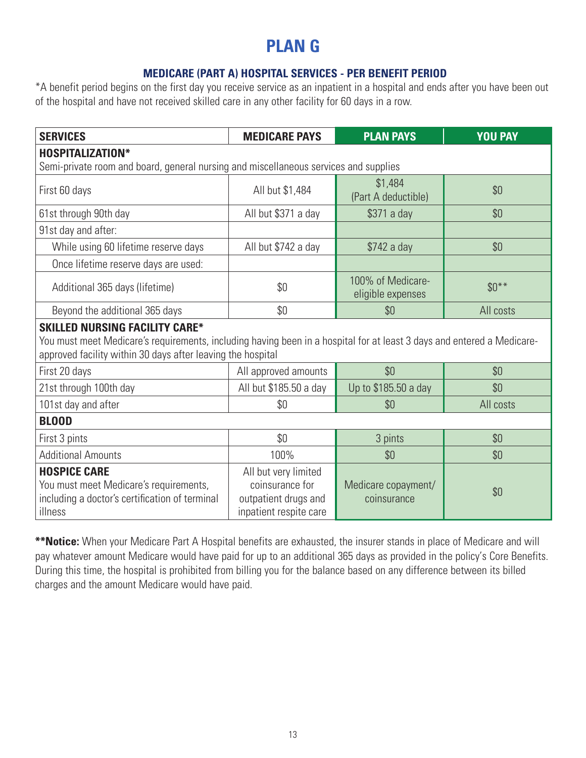### **PLAN G**

#### **MEDICARE (PART A) HOSPITAL SERVICES - PER BENEFIT PERIOD**

\*A benefit period begins on the first day you receive service as an inpatient in a hospital and ends after you have been out of the hospital and have not received skilled care in any other facility for 60 days in a row.

| <b>SERVICES</b>                                                                                                                                                                                                                | <b>MEDICARE PAYS</b>                                                                      | <b>PLAN PAYS</b>                       | <b>YOU PAY</b> |  |  |  |
|--------------------------------------------------------------------------------------------------------------------------------------------------------------------------------------------------------------------------------|-------------------------------------------------------------------------------------------|----------------------------------------|----------------|--|--|--|
| <b>HOSPITALIZATION*</b>                                                                                                                                                                                                        |                                                                                           |                                        |                |  |  |  |
| Semi-private room and board, general nursing and miscellaneous services and supplies                                                                                                                                           |                                                                                           |                                        |                |  |  |  |
| First 60 days                                                                                                                                                                                                                  | All but \$1,484                                                                           | \$1,484<br>(Part A deductible)         | \$0            |  |  |  |
| 61st through 90th day                                                                                                                                                                                                          | All but \$371 a day                                                                       | \$371 a day                            | \$0            |  |  |  |
| 91st day and after:                                                                                                                                                                                                            |                                                                                           |                                        |                |  |  |  |
| While using 60 lifetime reserve days                                                                                                                                                                                           | All but \$742 a day                                                                       | \$742 a day                            | \$0            |  |  |  |
| Once lifetime reserve days are used:                                                                                                                                                                                           |                                                                                           |                                        |                |  |  |  |
| Additional 365 days (lifetime)                                                                                                                                                                                                 | \$0                                                                                       | 100% of Medicare-<br>eligible expenses | $$0***$        |  |  |  |
| Beyond the additional 365 days                                                                                                                                                                                                 | \$0                                                                                       | \$0                                    | All costs      |  |  |  |
| <b>SKILLED NURSING FACILITY CARE*</b><br>You must meet Medicare's requirements, including having been in a hospital for at least 3 days and entered a Medicare-<br>approved facility within 30 days after leaving the hospital |                                                                                           |                                        |                |  |  |  |
| First 20 days                                                                                                                                                                                                                  | All approved amounts                                                                      | \$0                                    | \$0            |  |  |  |
| 21st through 100th day                                                                                                                                                                                                         | All but \$185.50 a day                                                                    | Up to \$185.50 a day                   | \$0            |  |  |  |
| 101st day and after                                                                                                                                                                                                            | \$0                                                                                       | \$0                                    | All costs      |  |  |  |
| <b>BLOOD</b>                                                                                                                                                                                                                   |                                                                                           |                                        |                |  |  |  |
| First 3 pints                                                                                                                                                                                                                  | \$0                                                                                       | 3 pints                                | \$0            |  |  |  |
| <b>Additional Amounts</b>                                                                                                                                                                                                      | 100%                                                                                      | \$0                                    | \$0            |  |  |  |
| <b>HOSPICE CARE</b><br>You must meet Medicare's requirements,<br>including a doctor's certification of terminal<br>illness                                                                                                     | All but very limited<br>coinsurance for<br>outpatient drugs and<br>inpatient respite care | Medicare copayment/<br>coinsurance     | \$0            |  |  |  |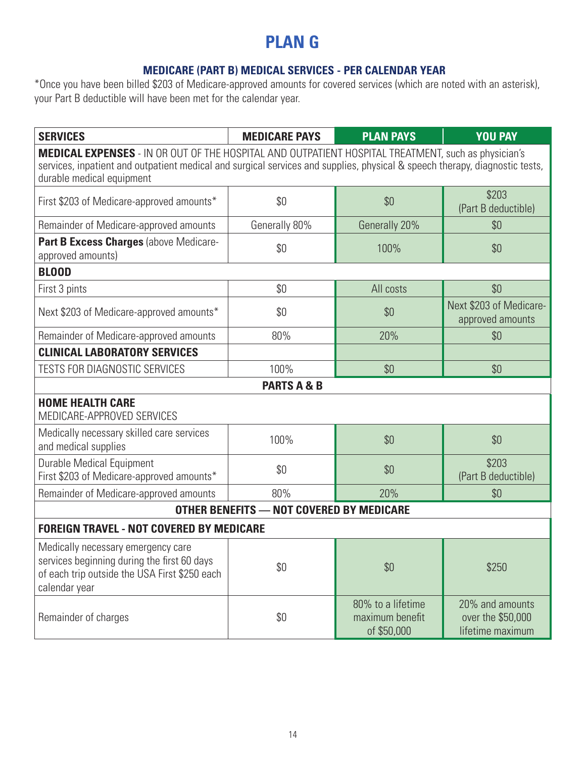### **PLAN G**

#### **MEDICARE (PART B) MEDICAL SERVICES - PER CALENDAR YEAR**

| <b>SERVICES</b>                                                                                                                                                                                                                                                        | <b>MEDICARE PAYS</b>                            | <b>PLAN PAYS</b>                                    | <b>YOU PAY</b>                                           |  |  |  |
|------------------------------------------------------------------------------------------------------------------------------------------------------------------------------------------------------------------------------------------------------------------------|-------------------------------------------------|-----------------------------------------------------|----------------------------------------------------------|--|--|--|
| <b>MEDICAL EXPENSES</b> - IN OR OUT OF THE HOSPITAL AND OUTPATIENT HOSPITAL TREATMENT, such as physician's<br>services, inpatient and outpatient medical and surgical services and supplies, physical & speech therapy, diagnostic tests,<br>durable medical equipment |                                                 |                                                     |                                                          |  |  |  |
| First \$203 of Medicare-approved amounts*                                                                                                                                                                                                                              | \$0                                             | \$0                                                 | \$203<br>(Part B deductible)                             |  |  |  |
| Remainder of Medicare-approved amounts                                                                                                                                                                                                                                 | Generally 80%                                   | Generally 20%                                       | \$0                                                      |  |  |  |
| Part B Excess Charges (above Medicare-<br>approved amounts)                                                                                                                                                                                                            | \$0                                             | 100%                                                | \$0                                                      |  |  |  |
| <b>BLOOD</b>                                                                                                                                                                                                                                                           |                                                 |                                                     |                                                          |  |  |  |
| First 3 pints                                                                                                                                                                                                                                                          | \$0                                             | All costs                                           | \$0                                                      |  |  |  |
| Next \$203 of Medicare-approved amounts*                                                                                                                                                                                                                               | \$0                                             | \$0                                                 | Next \$203 of Medicare-<br>approved amounts              |  |  |  |
| Remainder of Medicare-approved amounts                                                                                                                                                                                                                                 | 80%                                             | 20%                                                 | \$0                                                      |  |  |  |
| <b>CLINICAL LABORATORY SERVICES</b>                                                                                                                                                                                                                                    |                                                 |                                                     |                                                          |  |  |  |
| <b>TESTS FOR DIAGNOSTIC SERVICES</b>                                                                                                                                                                                                                                   | 100%                                            | \$0                                                 | \$0                                                      |  |  |  |
|                                                                                                                                                                                                                                                                        | <b>PARTS A &amp; B</b>                          |                                                     |                                                          |  |  |  |
| <b>HOME HEALTH CARE</b><br>MEDICARE-APPROVED SERVICES                                                                                                                                                                                                                  |                                                 |                                                     |                                                          |  |  |  |
| Medically necessary skilled care services<br>and medical supplies                                                                                                                                                                                                      | 100%                                            | \$0                                                 | \$0                                                      |  |  |  |
| <b>Durable Medical Equipment</b><br>First \$203 of Medicare-approved amounts*                                                                                                                                                                                          | \$0                                             | \$0                                                 | \$203<br>(Part B deductible)                             |  |  |  |
| Remainder of Medicare-approved amounts                                                                                                                                                                                                                                 | 80%                                             | 20%                                                 | \$0                                                      |  |  |  |
|                                                                                                                                                                                                                                                                        | <b>OTHER BENEFITS - NOT COVERED BY MEDICARE</b> |                                                     |                                                          |  |  |  |
| <b>FOREIGN TRAVEL - NOT COVERED BY MEDICARE</b>                                                                                                                                                                                                                        |                                                 |                                                     |                                                          |  |  |  |
| Medically necessary emergency care<br>services beginning during the first 60 days<br>of each trip outside the USA First \$250 each<br>calendar year                                                                                                                    | \$0                                             | \$0                                                 | \$250                                                    |  |  |  |
| Remainder of charges                                                                                                                                                                                                                                                   | \$0                                             | 80% to a lifetime<br>maximum benefit<br>of \$50,000 | 20% and amounts<br>over the \$50,000<br>lifetime maximum |  |  |  |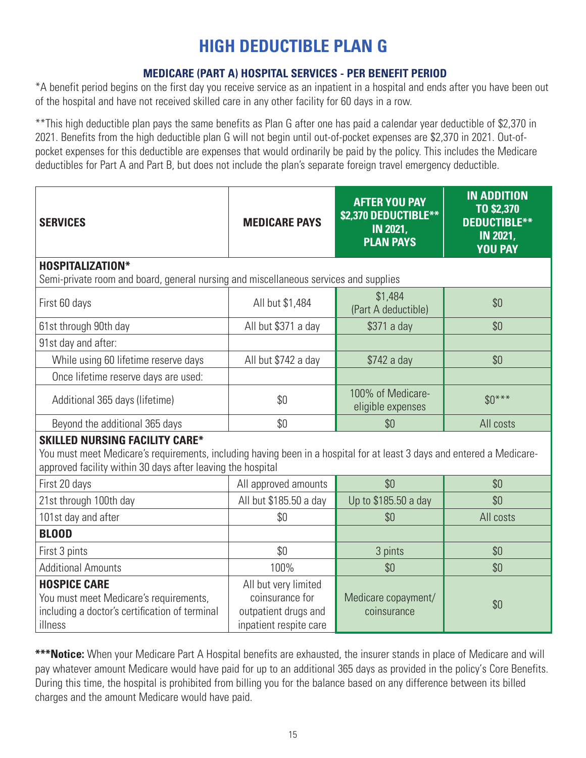### **HIGH DEDUCTIBLE PLAN G**

#### **MEDICARE (PART A) HOSPITAL SERVICES - PER BENEFIT PERIOD**

\*A benefit period begins on the first day you receive service as an inpatient in a hospital and ends after you have been out of the hospital and have not received skilled care in any other facility for 60 days in a row.

\*\*This high deductible plan pays the same benefits as Plan G after one has paid a calendar year deductible of \$2,370 in 2021. Benefits from the high deductible plan G will not begin until out-of-pocket expenses are \$2,370 in 2021. Out-ofpocket expenses for this deductible are expenses that would ordinarily be paid by the policy. This includes the Medicare deductibles for Part A and Part B, but does not include the plan's separate foreign travel emergency deductible.

| <b>SERVICES</b>                                                                                                                                                                                                                | <b>MEDICARE PAYS</b>                                                                      | <b>AFTER YOU PAY</b><br>\$2,370 DEDUCTIBLE**<br><b>IN 2021,</b><br><b>PLAN PAYS</b> | <b>IN ADDITION</b><br>TO \$2,370<br><b>DEDUCTIBLE**</b><br><b>IN 2021,</b><br><b>YOU PAY</b> |  |  |  |
|--------------------------------------------------------------------------------------------------------------------------------------------------------------------------------------------------------------------------------|-------------------------------------------------------------------------------------------|-------------------------------------------------------------------------------------|----------------------------------------------------------------------------------------------|--|--|--|
| <b>HOSPITALIZATION*</b><br>Semi-private room and board, general nursing and miscellaneous services and supplies                                                                                                                |                                                                                           |                                                                                     |                                                                                              |  |  |  |
| First 60 days                                                                                                                                                                                                                  | \$1,484<br>All but \$1,484<br>(Part A deductible)                                         |                                                                                     | \$0                                                                                          |  |  |  |
| 61st through 90th day                                                                                                                                                                                                          | All but \$371 a day                                                                       | \$371 a day                                                                         | \$0                                                                                          |  |  |  |
| 91st day and after:                                                                                                                                                                                                            |                                                                                           |                                                                                     |                                                                                              |  |  |  |
| While using 60 lifetime reserve days                                                                                                                                                                                           | All but \$742 a day                                                                       | \$742 a day                                                                         | \$0                                                                                          |  |  |  |
| Once lifetime reserve days are used:                                                                                                                                                                                           |                                                                                           |                                                                                     |                                                                                              |  |  |  |
| Additional 365 days (lifetime)                                                                                                                                                                                                 | \$0                                                                                       | 100% of Medicare-<br>eligible expenses                                              | $$0***$                                                                                      |  |  |  |
| Beyond the additional 365 days                                                                                                                                                                                                 | \$0<br>\$0                                                                                |                                                                                     | All costs                                                                                    |  |  |  |
| <b>SKILLED NURSING FACILITY CARE*</b><br>You must meet Medicare's requirements, including having been in a hospital for at least 3 days and entered a Medicare-<br>approved facility within 30 days after leaving the hospital |                                                                                           |                                                                                     |                                                                                              |  |  |  |
| First 20 days                                                                                                                                                                                                                  | All approved amounts                                                                      | \$0                                                                                 | \$0                                                                                          |  |  |  |
| 21st through 100th day                                                                                                                                                                                                         | All but \$185.50 a day                                                                    | Up to \$185.50 a day                                                                | \$0                                                                                          |  |  |  |
| 101st day and after                                                                                                                                                                                                            | \$0                                                                                       | \$0                                                                                 | All costs                                                                                    |  |  |  |
| <b>BLOOD</b>                                                                                                                                                                                                                   |                                                                                           |                                                                                     |                                                                                              |  |  |  |
| First 3 pints                                                                                                                                                                                                                  | \$0                                                                                       | 3 pints                                                                             | \$0                                                                                          |  |  |  |
| <b>Additional Amounts</b>                                                                                                                                                                                                      | 100%<br>\$0                                                                               |                                                                                     | \$0                                                                                          |  |  |  |
| <b>HOSPICE CARE</b><br>You must meet Medicare's requirements,<br>including a doctor's certification of terminal<br>illness                                                                                                     | All but very limited<br>coinsurance for<br>outpatient drugs and<br>inpatient respite care | Medicare copayment/<br>coinsurance                                                  | \$0                                                                                          |  |  |  |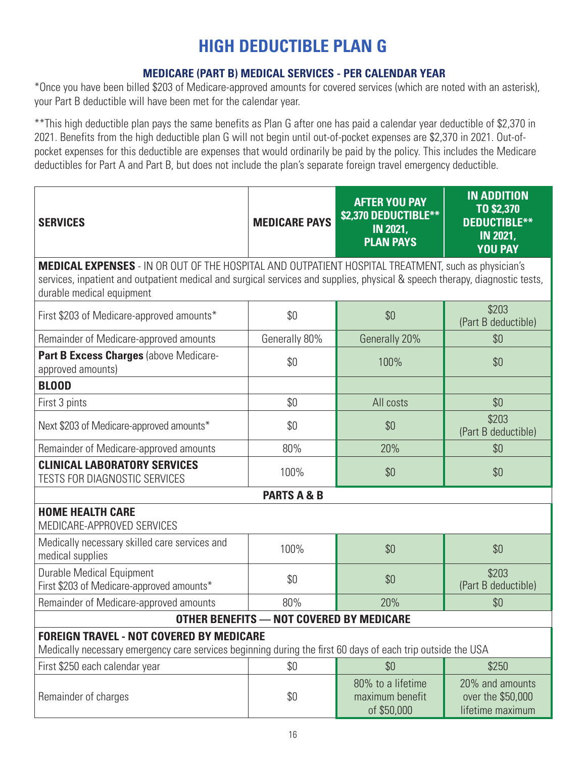### **HIGH DEDUCTIBLE PLAN G**

#### **MEDICARE (PART B) MEDICAL SERVICES - PER CALENDAR YEAR**

\*Once you have been billed \$203 of Medicare-approved amounts for covered services (which are noted with an asterisk), your Part B deductible will have been met for the calendar year.

\*\*This high deductible plan pays the same benefits as Plan G after one has paid a calendar year deductible of \$2,370 in 2021. Benefits from the high deductible plan G will not begin until out-of-pocket expenses are \$2,370 in 2021. Out-ofpocket expenses for this deductible are expenses that would ordinarily be paid by the policy. This includes the Medicare deductibles for Part A and Part B, but does not include the plan's separate foreign travel emergency deductible.

| <b>SERVICES</b>                                                                                                                                                | <b>MEDICARE PAYS</b> | <b>AFTER YOU PAY</b><br>\$2,370 DEDUCTIBLE**<br><b>IN 2021,</b><br><b>PLAN PAYS</b> | <b>IN ADDITION</b><br>TO \$2,370<br><b>DEDUCTIBLE**</b><br><b>IN 2021,</b><br><b>YOU PAY</b> |  |  |  |  |  |
|----------------------------------------------------------------------------------------------------------------------------------------------------------------|----------------------|-------------------------------------------------------------------------------------|----------------------------------------------------------------------------------------------|--|--|--|--|--|
| MEDICAL EXPENSES - IN OR OUT OF THE HOSPITAL AND OUTPATIENT HOSPITAL TREATMENT, such as physician's                                                            |                      |                                                                                     |                                                                                              |  |  |  |  |  |
| services, inpatient and outpatient medical and surgical services and supplies, physical & speech therapy, diagnostic tests,<br>durable medical equipment       |                      |                                                                                     |                                                                                              |  |  |  |  |  |
| First \$203 of Medicare-approved amounts*                                                                                                                      | \$0                  | \$0                                                                                 | \$203<br>(Part B deductible)                                                                 |  |  |  |  |  |
| Remainder of Medicare-approved amounts                                                                                                                         | Generally 80%        | Generally 20%                                                                       | \$0                                                                                          |  |  |  |  |  |
| Part B Excess Charges (above Medicare-<br>approved amounts)                                                                                                    | \$0                  | 100%                                                                                | \$0                                                                                          |  |  |  |  |  |
| <b>BLOOD</b>                                                                                                                                                   |                      |                                                                                     |                                                                                              |  |  |  |  |  |
| First 3 pints                                                                                                                                                  | \$0                  | All costs                                                                           | \$0                                                                                          |  |  |  |  |  |
| Next \$203 of Medicare-approved amounts*                                                                                                                       | \$0                  | \$0                                                                                 | \$203<br>(Part B deductible)                                                                 |  |  |  |  |  |
| Remainder of Medicare-approved amounts                                                                                                                         | 80%                  | 20%                                                                                 | \$0                                                                                          |  |  |  |  |  |
| <b>CLINICAL LABORATORY SERVICES</b><br>TESTS FOR DIAGNOSTIC SERVICES                                                                                           | 100%                 | \$0                                                                                 | \$0                                                                                          |  |  |  |  |  |
| <b>PARTS A &amp; B</b>                                                                                                                                         |                      |                                                                                     |                                                                                              |  |  |  |  |  |
| <b>HOME HEALTH CARE</b><br>MEDICARE-APPROVED SERVICES                                                                                                          |                      |                                                                                     |                                                                                              |  |  |  |  |  |
| Medically necessary skilled care services and<br>medical supplies                                                                                              | 100%                 | \$0                                                                                 | \$0                                                                                          |  |  |  |  |  |
| <b>Durable Medical Equipment</b><br>First \$203 of Medicare-approved amounts*                                                                                  | \$0                  | \$0                                                                                 | \$203<br>(Part B deductible)                                                                 |  |  |  |  |  |
| Remainder of Medicare-approved amounts                                                                                                                         | 80%                  | 20%                                                                                 | \$0                                                                                          |  |  |  |  |  |
| <b>OTHER BENEFITS - NOT COVERED BY MEDICARE</b>                                                                                                                |                      |                                                                                     |                                                                                              |  |  |  |  |  |
| <b>FOREIGN TRAVEL - NOT COVERED BY MEDICARE</b><br>Medically necessary emergency care services beginning during the first 60 days of each trip outside the USA |                      |                                                                                     |                                                                                              |  |  |  |  |  |
| First \$250 each calendar year                                                                                                                                 | \$0                  | \$0                                                                                 | \$250                                                                                        |  |  |  |  |  |
| Remainder of charges                                                                                                                                           | \$0                  | 80% to a lifetime<br>maximum benefit<br>of \$50,000                                 | 20% and amounts<br>over the \$50,000<br>lifetime maximum                                     |  |  |  |  |  |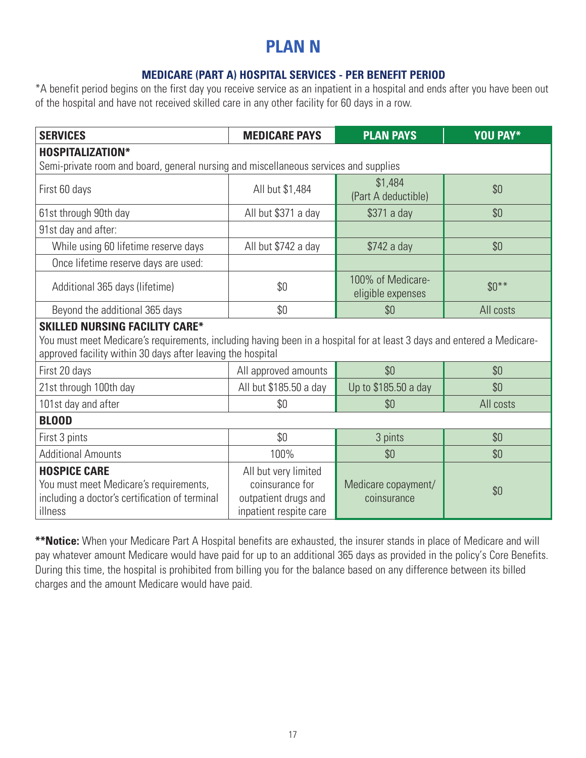### **PLAN N**

#### **MEDICARE (PART A) HOSPITAL SERVICES - PER BENEFIT PERIOD**

\*A benefit period begins on the first day you receive service as an inpatient in a hospital and ends after you have been out of the hospital and have not received skilled care in any other facility for 60 days in a row.

| <b>SERVICES</b>                                                                                                                                                                                                                | <b>MEDICARE PAYS</b>                                                                      | <b>PLAN PAYS</b>                       | <b>YOU PAY*</b> |  |  |  |
|--------------------------------------------------------------------------------------------------------------------------------------------------------------------------------------------------------------------------------|-------------------------------------------------------------------------------------------|----------------------------------------|-----------------|--|--|--|
| <b>HOSPITALIZATION*</b>                                                                                                                                                                                                        |                                                                                           |                                        |                 |  |  |  |
| Semi-private room and board, general nursing and miscellaneous services and supplies                                                                                                                                           |                                                                                           |                                        |                 |  |  |  |
| First 60 days                                                                                                                                                                                                                  | All but \$1,484                                                                           | \$1,484<br>(Part A deductible)         | \$0             |  |  |  |
| 61st through 90th day                                                                                                                                                                                                          | All but \$371 a day                                                                       | \$371 a day                            | \$0             |  |  |  |
| 91st day and after:                                                                                                                                                                                                            |                                                                                           |                                        |                 |  |  |  |
| While using 60 lifetime reserve days                                                                                                                                                                                           | All but \$742 a day                                                                       | \$742 a day                            | \$0             |  |  |  |
| Once lifetime reserve days are used:                                                                                                                                                                                           |                                                                                           |                                        |                 |  |  |  |
| Additional 365 days (lifetime)                                                                                                                                                                                                 | \$0                                                                                       | 100% of Medicare-<br>eligible expenses | $$0***$         |  |  |  |
| Beyond the additional 365 days                                                                                                                                                                                                 | \$0<br>\$0                                                                                |                                        | All costs       |  |  |  |
| <b>SKILLED NURSING FACILITY CARE*</b><br>You must meet Medicare's requirements, including having been in a hospital for at least 3 days and entered a Medicare-<br>approved facility within 30 days after leaving the hospital |                                                                                           |                                        |                 |  |  |  |
| First 20 days                                                                                                                                                                                                                  | All approved amounts<br>\$0                                                               |                                        | \$0             |  |  |  |
| 21st through 100th day                                                                                                                                                                                                         | All but \$185.50 a day                                                                    | Up to \$185.50 a day                   | \$0             |  |  |  |
| 101st day and after                                                                                                                                                                                                            | \$0                                                                                       | \$0                                    | All costs       |  |  |  |
| <b>BLOOD</b>                                                                                                                                                                                                                   |                                                                                           |                                        |                 |  |  |  |
| First 3 pints                                                                                                                                                                                                                  | \$0                                                                                       | 3 pints                                | \$0             |  |  |  |
| <b>Additional Amounts</b>                                                                                                                                                                                                      | 100%                                                                                      | \$0                                    | \$0             |  |  |  |
| <b>HOSPICE CARE</b><br>You must meet Medicare's requirements,<br>including a doctor's certification of terminal<br>illness                                                                                                     | All but very limited<br>coinsurance for<br>outpatient drugs and<br>inpatient respite care | Medicare copayment/<br>coinsurance     | \$0             |  |  |  |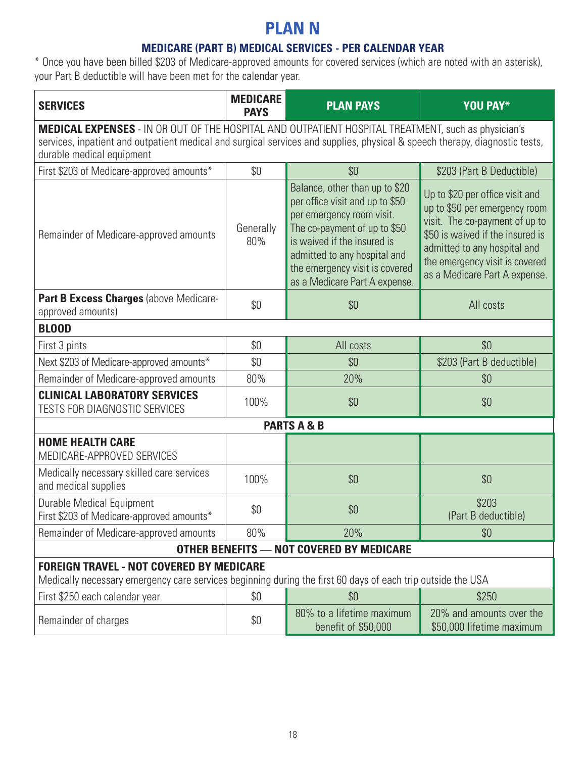### **PLAN N**

#### **MEDICARE (PART B) MEDICAL SERVICES - PER CALENDAR YEAR**

| <b>SERVICES</b>                                                                                                                                                                                                                                                 | <b>MEDICARE</b><br><b>PAYS</b> | <b>PLAN PAYS</b>                                                                                                                                                                                                                                                 | <b>YOU PAY*</b>                                                                                                                                                                                                                           |  |  |  |
|-----------------------------------------------------------------------------------------------------------------------------------------------------------------------------------------------------------------------------------------------------------------|--------------------------------|------------------------------------------------------------------------------------------------------------------------------------------------------------------------------------------------------------------------------------------------------------------|-------------------------------------------------------------------------------------------------------------------------------------------------------------------------------------------------------------------------------------------|--|--|--|
| MEDICAL EXPENSES - IN OR OUT OF THE HOSPITAL AND OUTPATIENT HOSPITAL TREATMENT, such as physician's<br>services, inpatient and outpatient medical and surgical services and supplies, physical & speech therapy, diagnostic tests,<br>durable medical equipment |                                |                                                                                                                                                                                                                                                                  |                                                                                                                                                                                                                                           |  |  |  |
| First \$203 of Medicare-approved amounts*                                                                                                                                                                                                                       | \$0                            | \$0                                                                                                                                                                                                                                                              | \$203 (Part B Deductible)                                                                                                                                                                                                                 |  |  |  |
| Remainder of Medicare-approved amounts                                                                                                                                                                                                                          | Generally<br>80%               | Balance, other than up to \$20<br>per office visit and up to \$50<br>per emergency room visit.<br>The co-payment of up to \$50<br>is waived if the insured is<br>admitted to any hospital and<br>the emergency visit is covered<br>as a Medicare Part A expense. | Up to \$20 per office visit and<br>up to \$50 per emergency room<br>visit. The co-payment of up to<br>\$50 is waived if the insured is<br>admitted to any hospital and<br>the emergency visit is covered<br>as a Medicare Part A expense. |  |  |  |
| Part B Excess Charges (above Medicare-<br>approved amounts)                                                                                                                                                                                                     | \$0                            | \$0                                                                                                                                                                                                                                                              | All costs                                                                                                                                                                                                                                 |  |  |  |
| <b>BLOOD</b>                                                                                                                                                                                                                                                    |                                |                                                                                                                                                                                                                                                                  |                                                                                                                                                                                                                                           |  |  |  |
| First 3 pints                                                                                                                                                                                                                                                   | \$0                            | All costs                                                                                                                                                                                                                                                        | \$0                                                                                                                                                                                                                                       |  |  |  |
| Next \$203 of Medicare-approved amounts*                                                                                                                                                                                                                        | \$0                            | \$0                                                                                                                                                                                                                                                              | \$203 (Part B deductible)                                                                                                                                                                                                                 |  |  |  |
| Remainder of Medicare-approved amounts                                                                                                                                                                                                                          | 80%                            | 20%                                                                                                                                                                                                                                                              | \$0                                                                                                                                                                                                                                       |  |  |  |
| <b>CLINICAL LABORATORY SERVICES</b><br><b>TESTS FOR DIAGNOSTIC SERVICES</b>                                                                                                                                                                                     | 100%                           | \$0                                                                                                                                                                                                                                                              | \$0                                                                                                                                                                                                                                       |  |  |  |
| <b>PARTS A &amp; B</b>                                                                                                                                                                                                                                          |                                |                                                                                                                                                                                                                                                                  |                                                                                                                                                                                                                                           |  |  |  |
| <b>HOME HEALTH CARE</b><br>MEDICARE-APPROVED SERVICES                                                                                                                                                                                                           |                                |                                                                                                                                                                                                                                                                  |                                                                                                                                                                                                                                           |  |  |  |
| Medically necessary skilled care services<br>and medical supplies                                                                                                                                                                                               | 100%                           | \$0                                                                                                                                                                                                                                                              | \$0                                                                                                                                                                                                                                       |  |  |  |
| <b>Durable Medical Equipment</b><br>First \$203 of Medicare-approved amounts*                                                                                                                                                                                   | \$0                            | \$0                                                                                                                                                                                                                                                              | \$203<br>(Part B deductible)                                                                                                                                                                                                              |  |  |  |
| Remainder of Medicare-approved amounts                                                                                                                                                                                                                          | 80%                            | 20%                                                                                                                                                                                                                                                              | \$0                                                                                                                                                                                                                                       |  |  |  |
| OTHER BENEFITS - NOT COVERED BY MEDICARE                                                                                                                                                                                                                        |                                |                                                                                                                                                                                                                                                                  |                                                                                                                                                                                                                                           |  |  |  |
| <b>FOREIGN TRAVEL - NOT COVERED BY MEDICARE</b><br>Medically necessary emergency care services beginning during the first 60 days of each trip outside the USA                                                                                                  |                                |                                                                                                                                                                                                                                                                  |                                                                                                                                                                                                                                           |  |  |  |
| First \$250 each calendar year                                                                                                                                                                                                                                  | \$0                            | \$0                                                                                                                                                                                                                                                              | \$250                                                                                                                                                                                                                                     |  |  |  |
| Remainder of charges                                                                                                                                                                                                                                            | \$0                            | 80% to a lifetime maximum<br>benefit of \$50,000                                                                                                                                                                                                                 | 20% and amounts over the<br>\$50,000 lifetime maximum                                                                                                                                                                                     |  |  |  |